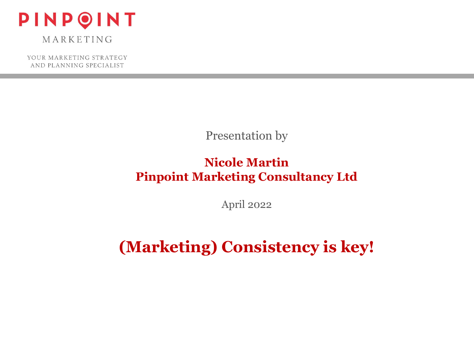

MARKETING

YOUR MARKETING STRATEGY AND PLANNING SPECIALIST

Presentation by

#### **Nicole Martin Pinpoint Marketing Consultancy Ltd**

April 2022

## **(Marketing) Consistency is key!**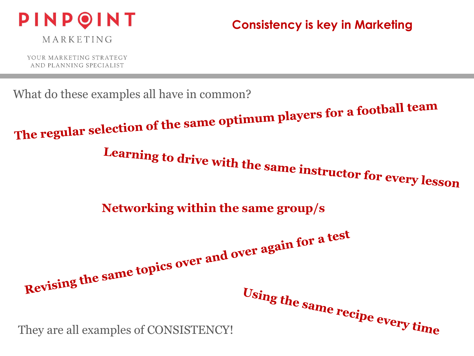

MARKETING

YOUR MARKETING STRATEGY AND PLANNING SPECIALIST

What do these examples all have in common?<br>The regular selection of the same optimum players for a football team Learning to drive with the same instructor for every lesson **Networking within the same group/s** Revising the same topics over and over again for a test<br>Using the same topics over and over again for a test Using the same recipe every time

They are all examples of CONSISTENCY!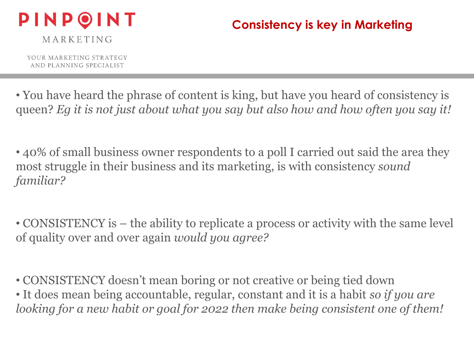

MARKETING

YOUR MARKETING STRATEGY AND PLANNING SPECIALIST

• You have heard the phrase of content is king, but have you heard of consistency is queen? *Eg it is not just about what you say but also how and how often you say it!*

• 40% of small business owner respondents to a poll I carried out said the area they most struggle in their business and its marketing, is with consistency *sound familiar?*

• CONSISTENCY is – the ability to replicate a process or activity with the same level of quality over and over again *would you agree?* 

• CONSISTENCY doesn't mean boring or not creative or being tied down • It does mean being accountable, regular, constant and it is a habit *so if you are looking for a new habit or goal for 2022 then make being consistent one of them!*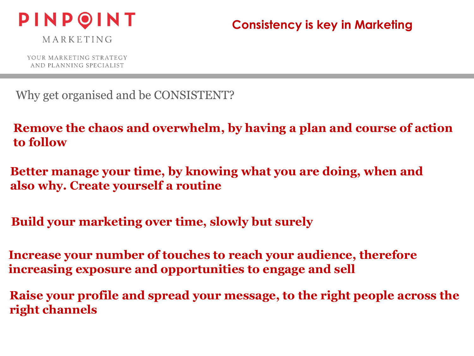

MARKETING

YOUR MARKETING STRATEGY AND PLANNING SPECIALIST

Why get organised and be CONSISTENT?

**Remove the chaos and overwhelm, by having a plan and course of action to follow** 

**Better manage your time, by knowing what you are doing, when and also why. Create yourself a routine**

**Build your marketing over time, slowly but surely**

**Increase your number of touches to reach your audience, therefore increasing exposure and opportunities to engage and sell**

**Raise your profile and spread your message, to the right people across the right channels**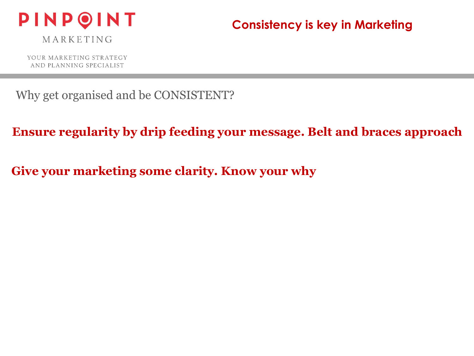

MARKETING

YOUR MARKETING STRATEGY AND PLANNING SPECIALIST

Why get organised and be CONSISTENT?

**Ensure regularity by drip feeding your message. Belt and braces approach**

**Give your marketing some clarity. Know your why**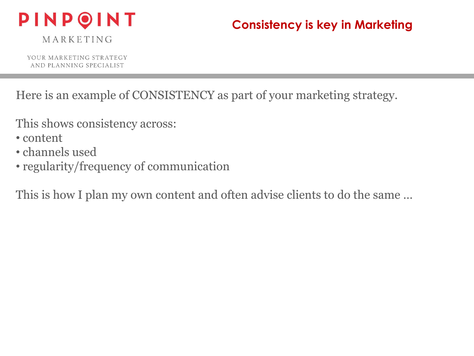

MARKETING

YOUR MARKETING STRATEGY AND PLANNING SPECIALIST

Here is an example of CONSISTENCY as part of your marketing strategy.

This shows consistency across:

- content
- channels used
- regularity/frequency of communication

This is how I plan my own content and often advise clients to do the same …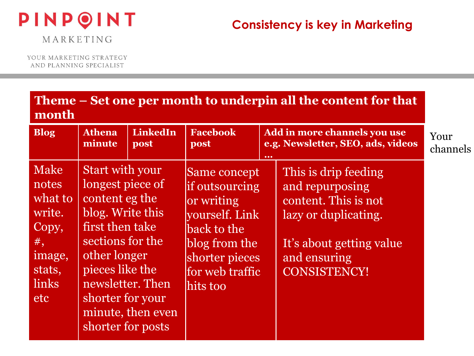# PINPOINT

### **Consistency is key in Marketing**

MARKETING

YOUR MARKETING STRATEGY AND PLANNING SPECIALIST

### **Theme – Set one per month to underpin all the content for that month**

| <b>Blog</b>                                                                                     | <b>Athena</b><br>minute                                                                                                                                                                                                 | <b>LinkedIn</b><br>post | <b>Facebook</b><br>post                                                                                                                         | $\bullet\bullet\bullet$ | Add in more channels you use<br>e.g. Newsletter, SEO, ads, videos                                                                                          | Your<br>channels |
|-------------------------------------------------------------------------------------------------|-------------------------------------------------------------------------------------------------------------------------------------------------------------------------------------------------------------------------|-------------------------|-------------------------------------------------------------------------------------------------------------------------------------------------|-------------------------|------------------------------------------------------------------------------------------------------------------------------------------------------------|------------------|
| Make<br>notes<br>what to<br>write.<br>Copy,<br>$#$ ,<br>image,<br>stats,<br>links<br><i>etc</i> | <b>Start with your</b><br>longest piece of<br>content eg the<br>blog. Write this<br>first then take<br>sections for the<br>other longer<br>pieces like the<br>newsletter. Then<br>shorter for your<br>shorter for posts | minute, then even       | Same concept<br>if outsourcing<br>or writing<br>vourself. Link<br>back to the<br>blog from the<br>shorter pieces<br>for web traffic<br>hits too |                         | This is drip feeding<br>and repurposing<br>content. This is not<br>lazy or duplicating.<br>It's about getting value<br>and ensuring<br><b>CONSISTENCY!</b> |                  |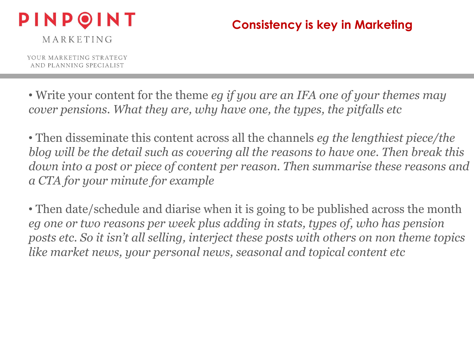# PINPOINT

### **Consistency is key in Marketing**

MARKETING

YOUR MARKETING STRATEGY AND PLANNING SPECIALIST

• Write your content for the theme *eg if you are an IFA one of your themes may cover pensions. What they are, why have one, the types, the pitfalls etc* 

• Then disseminate this content across all the channels *eg the lengthiest piece/the blog will be the detail such as covering all the reasons to have one. Then break this down into a post or piece of content per reason. Then summarise these reasons and a CTA for your minute for example* 

• Then date/schedule and diarise when it is going to be published across the month *eg one or two reasons per week plus adding in stats, types of, who has pension posts etc. So it isn't all selling, interject these posts with others on non theme topics like market news, your personal news, seasonal and topical content etc*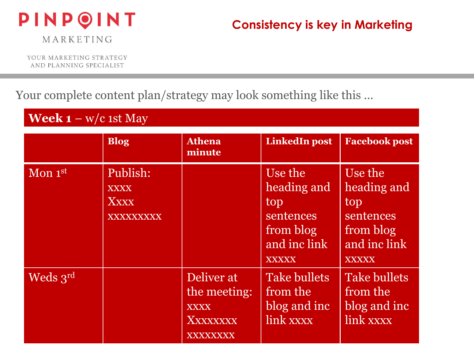

MARKETING

YOUR MARKETING STRATEGY AND PLANNING SPECIALIST

Your complete content plan/strategy may look something like this …

**Week**  $1 - w/c$  **1st May Blog Athena minute LinkedIn post Facebook post** Mon  $1^{st}$  | Publish: xxxx Xxxx xxxxxxxxx Use the heading and top sentences from blog and inc link **xxxxx** Use the heading and top sentences from blog and inc link **xxxxx** Weds 3rd Deliver at the meeting: **xxxx** Xxxxxxxx **xxxxxxxx** Take bullets from the blog and inc link xxxx Take bullets from the blog and inc link xxxx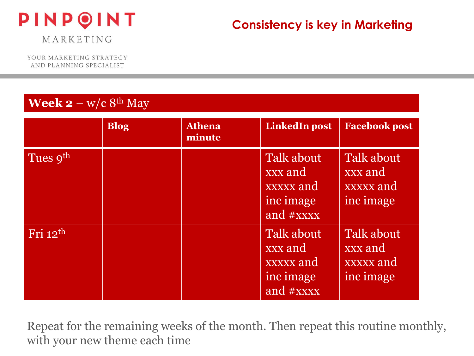

MARKETING

YOUR MARKETING STRATEGY AND PLANNING SPECIALIST

### **Week**  $2 - w/c$  **8<sup>th</sup> May**

|            | <b>Blog</b> | <b>Athena</b><br>minute | <b>LinkedIn post</b>                                         | <b>Facebook post</b>                            |
|------------|-------------|-------------------------|--------------------------------------------------------------|-------------------------------------------------|
| Tues 9th   |             |                         | Talk about<br>xxx and<br>xxxxx and<br>inc image<br>and #xxxx | Talk about<br>xxx and<br>xxxxx and<br>inc image |
| Fri $12th$ |             |                         | Talk about<br>xxx and<br>xxxxx and<br>inc image<br>and #xxxx | Talk about<br>xxx and<br>xxxxx and<br>inc image |

Repeat for the remaining weeks of the month. Then repeat this routine monthly, with your new theme each time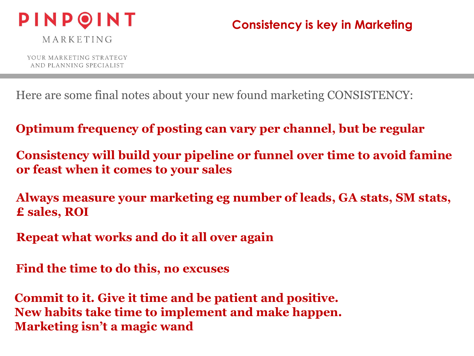

MARKETING

YOUR MARKETING STRATEGY AND PLANNING SPECIALIST

Here are some final notes about your new found marketing CONSISTENCY:

**Optimum frequency of posting can vary per channel, but be regular**

**Consistency will build your pipeline or funnel over time to avoid famine or feast when it comes to your sales**

**Always measure your marketing eg number of leads, GA stats, SM stats, £ sales, ROI**

**Repeat what works and do it all over again**

**Find the time to do this, no excuses**

**Commit to it. Give it time and be patient and positive. New habits take time to implement and make happen. Marketing isn't a magic wand**